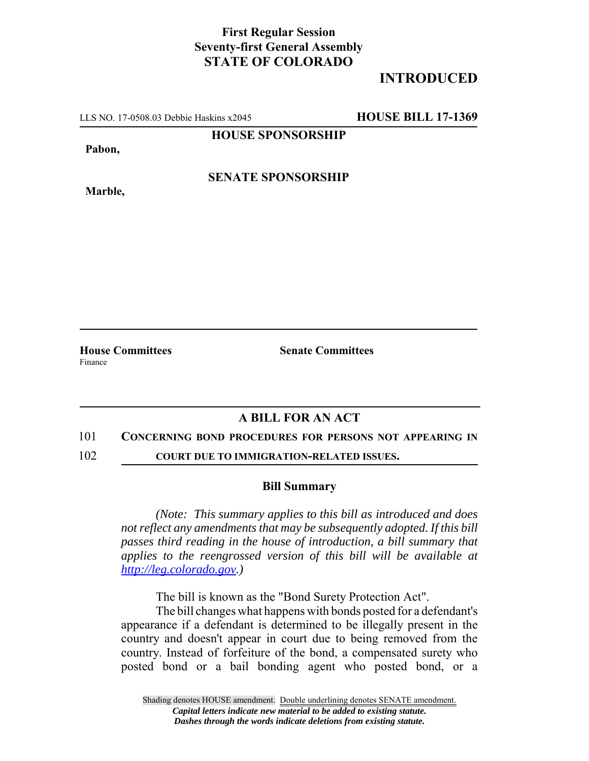## **First Regular Session Seventy-first General Assembly STATE OF COLORADO**

# **INTRODUCED**

LLS NO. 17-0508.03 Debbie Haskins x2045 **HOUSE BILL 17-1369**

**HOUSE SPONSORSHIP**

**Pabon,**

**Marble,**

**SENATE SPONSORSHIP**

Finance

**House Committees Senate Committees** 

### **A BILL FOR AN ACT**

### 101 **CONCERNING BOND PROCEDURES FOR PERSONS NOT APPEARING IN**

102 **COURT DUE TO IMMIGRATION-RELATED ISSUES.**

### **Bill Summary**

*(Note: This summary applies to this bill as introduced and does not reflect any amendments that may be subsequently adopted. If this bill passes third reading in the house of introduction, a bill summary that applies to the reengrossed version of this bill will be available at http://leg.colorado.gov.)*

The bill is known as the "Bond Surety Protection Act".

The bill changes what happens with bonds posted for a defendant's appearance if a defendant is determined to be illegally present in the country and doesn't appear in court due to being removed from the country. Instead of forfeiture of the bond, a compensated surety who posted bond or a bail bonding agent who posted bond, or a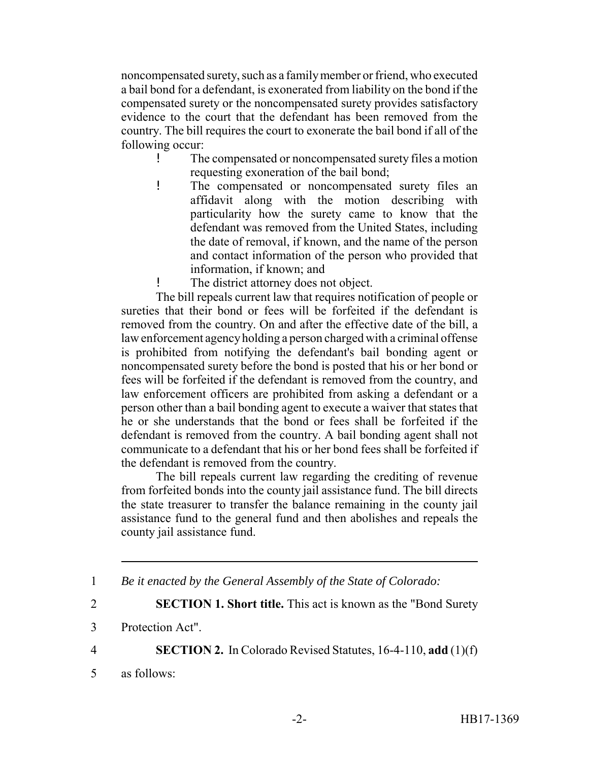noncompensated surety, such as a family member or friend, who executed a bail bond for a defendant, is exonerated from liability on the bond if the compensated surety or the noncompensated surety provides satisfactory evidence to the court that the defendant has been removed from the country. The bill requires the court to exonerate the bail bond if all of the following occur:

- ! The compensated or noncompensated surety files a motion requesting exoneration of the bail bond;
- ! The compensated or noncompensated surety files an affidavit along with the motion describing with particularity how the surety came to know that the defendant was removed from the United States, including the date of removal, if known, and the name of the person and contact information of the person who provided that information, if known; and

! The district attorney does not object.

The bill repeals current law that requires notification of people or sureties that their bond or fees will be forfeited if the defendant is removed from the country. On and after the effective date of the bill, a law enforcement agency holding a person charged with a criminal offense is prohibited from notifying the defendant's bail bonding agent or noncompensated surety before the bond is posted that his or her bond or fees will be forfeited if the defendant is removed from the country, and law enforcement officers are prohibited from asking a defendant or a person other than a bail bonding agent to execute a waiver that states that he or she understands that the bond or fees shall be forfeited if the defendant is removed from the country. A bail bonding agent shall not communicate to a defendant that his or her bond fees shall be forfeited if the defendant is removed from the country.

The bill repeals current law regarding the crediting of revenue from forfeited bonds into the county jail assistance fund. The bill directs the state treasurer to transfer the balance remaining in the county jail assistance fund to the general fund and then abolishes and repeals the county jail assistance fund.

4 **SECTION 2.** In Colorado Revised Statutes, 16-4-110, **add** (1)(f)

5 as follows:

<sup>1</sup> *Be it enacted by the General Assembly of the State of Colorado:*

<sup>2</sup> **SECTION 1. Short title.** This act is known as the "Bond Surety

<sup>3</sup> Protection Act".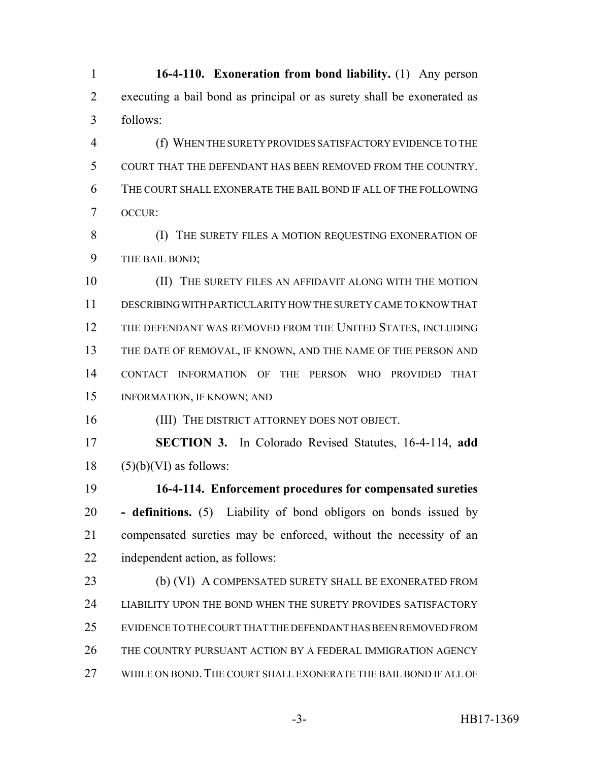**16-4-110. Exoneration from bond liability.** (1) Any person executing a bail bond as principal or as surety shall be exonerated as follows:

 (f) WHEN THE SURETY PROVIDES SATISFACTORY EVIDENCE TO THE COURT THAT THE DEFENDANT HAS BEEN REMOVED FROM THE COUNTRY. THE COURT SHALL EXONERATE THE BAIL BOND IF ALL OF THE FOLLOWING OCCUR:

8 (I) THE SURETY FILES A MOTION REQUESTING EXONERATION OF THE BAIL BOND;

**(II)** THE SURETY FILES AN AFFIDAVIT ALONG WITH THE MOTION DESCRIBING WITH PARTICULARITY HOW THE SURETY CAME TO KNOW THAT 12 THE DEFENDANT WAS REMOVED FROM THE UNITED STATES, INCLUDING THE DATE OF REMOVAL, IF KNOWN, AND THE NAME OF THE PERSON AND CONTACT INFORMATION OF THE PERSON WHO PROVIDED THAT INFORMATION, IF KNOWN; AND

(III) THE DISTRICT ATTORNEY DOES NOT OBJECT.

 **SECTION 3.** In Colorado Revised Statutes, 16-4-114, **add** (5)(b)(VI) as follows:

 **16-4-114. Enforcement procedures for compensated sureties - definitions.** (5) Liability of bond obligors on bonds issued by compensated sureties may be enforced, without the necessity of an independent action, as follows:

23 (b) (VI) A COMPENSATED SURETY SHALL BE EXONERATED FROM LIABILITY UPON THE BOND WHEN THE SURETY PROVIDES SATISFACTORY EVIDENCE TO THE COURT THAT THE DEFENDANT HAS BEEN REMOVED FROM THE COUNTRY PURSUANT ACTION BY A FEDERAL IMMIGRATION AGENCY 27 WHILE ON BOND. THE COURT SHALL EXONERATE THE BAIL BOND IF ALL OF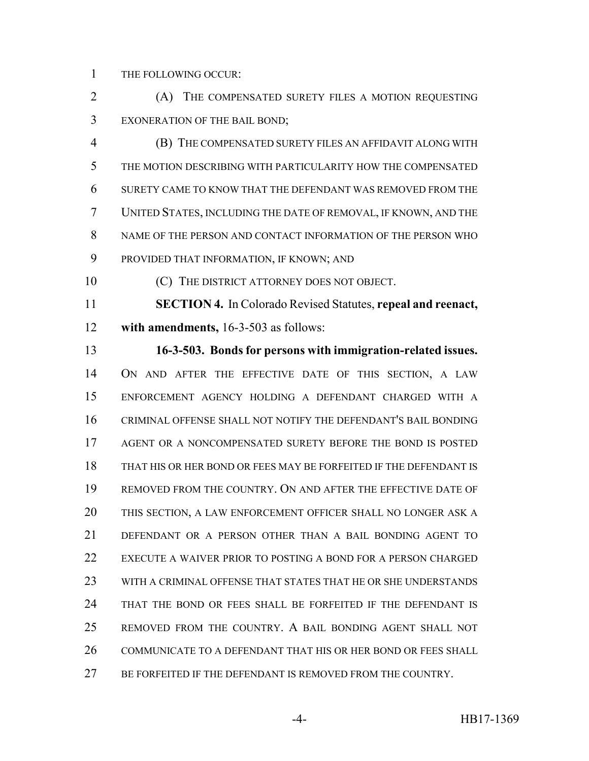THE FOLLOWING OCCUR:

 (A) THE COMPENSATED SURETY FILES A MOTION REQUESTING EXONERATION OF THE BAIL BOND;

 (B) THE COMPENSATED SURETY FILES AN AFFIDAVIT ALONG WITH THE MOTION DESCRIBING WITH PARTICULARITY HOW THE COMPENSATED SURETY CAME TO KNOW THAT THE DEFENDANT WAS REMOVED FROM THE UNITED STATES, INCLUDING THE DATE OF REMOVAL, IF KNOWN, AND THE NAME OF THE PERSON AND CONTACT INFORMATION OF THE PERSON WHO PROVIDED THAT INFORMATION, IF KNOWN; AND

(C) THE DISTRICT ATTORNEY DOES NOT OBJECT.

 **SECTION 4.** In Colorado Revised Statutes, **repeal and reenact, with amendments,** 16-3-503 as follows:

 **16-3-503. Bonds for persons with immigration-related issues.** ON AND AFTER THE EFFECTIVE DATE OF THIS SECTION, A LAW ENFORCEMENT AGENCY HOLDING A DEFENDANT CHARGED WITH A CRIMINAL OFFENSE SHALL NOT NOTIFY THE DEFENDANT'S BAIL BONDING AGENT OR A NONCOMPENSATED SURETY BEFORE THE BOND IS POSTED THAT HIS OR HER BOND OR FEES MAY BE FORFEITED IF THE DEFENDANT IS REMOVED FROM THE COUNTRY. ON AND AFTER THE EFFECTIVE DATE OF THIS SECTION, A LAW ENFORCEMENT OFFICER SHALL NO LONGER ASK A DEFENDANT OR A PERSON OTHER THAN A BAIL BONDING AGENT TO EXECUTE A WAIVER PRIOR TO POSTING A BOND FOR A PERSON CHARGED WITH A CRIMINAL OFFENSE THAT STATES THAT HE OR SHE UNDERSTANDS THAT THE BOND OR FEES SHALL BE FORFEITED IF THE DEFENDANT IS REMOVED FROM THE COUNTRY. A BAIL BONDING AGENT SHALL NOT 26 COMMUNICATE TO A DEFENDANT THAT HIS OR HER BOND OR FEES SHALL 27 BE FORFEITED IF THE DEFENDANT IS REMOVED FROM THE COUNTRY.